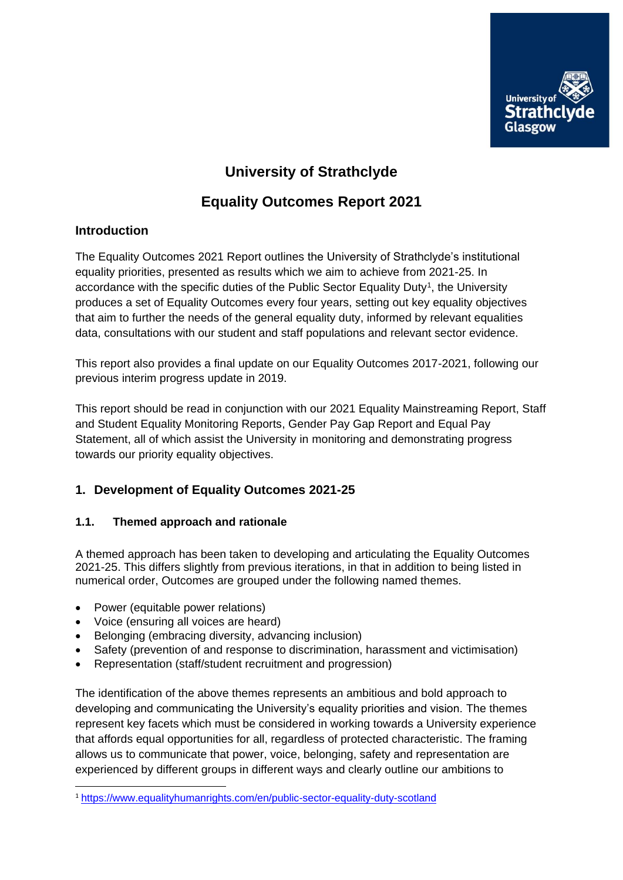

# **University of Strathclyde**

# **Equality Outcomes Report 2021**

#### **Introduction**

The Equality Outcomes 2021 Report outlines the University of Strathclyde's institutional equality priorities, presented as results which we aim to achieve from 2021-25. In accordance with the specific duties of the Public Sector Equality Duty<sup>1</sup>, the University produces a set of Equality Outcomes every four years, setting out key equality objectives that aim to further the needs of the general equality duty, informed by relevant equalities data, consultations with our student and staff populations and relevant sector evidence.

This report also provides a final update on our Equality Outcomes 2017-2021, following our previous interim progress update in 2019.

This report should be read in conjunction with our 2021 Equality Mainstreaming Report, Staff and Student Equality Monitoring Reports, Gender Pay Gap Report and Equal Pay Statement, all of which assist the University in monitoring and demonstrating progress towards our priority equality objectives.

### **1. Development of Equality Outcomes 2021-25**

#### **1.1. Themed approach and rationale**

A themed approach has been taken to developing and articulating the Equality Outcomes 2021-25. This differs slightly from previous iterations, in that in addition to being listed in numerical order, Outcomes are grouped under the following named themes.

• Power (equitable power relations)

**.** 

- Voice (ensuring all voices are heard)
- Belonging (embracing diversity, advancing inclusion)
- Safety (prevention of and response to discrimination, harassment and victimisation)
- Representation (staff/student recruitment and progression)

The identification of the above themes represents an ambitious and bold approach to developing and communicating the University's equality priorities and vision. The themes represent key facets which must be considered in working towards a University experience that affords equal opportunities for all, regardless of protected characteristic. The framing allows us to communicate that power, voice, belonging, safety and representation are experienced by different groups in different ways and clearly outline our ambitions to

<sup>1</sup> <https://www.equalityhumanrights.com/en/public-sector-equality-duty-scotland>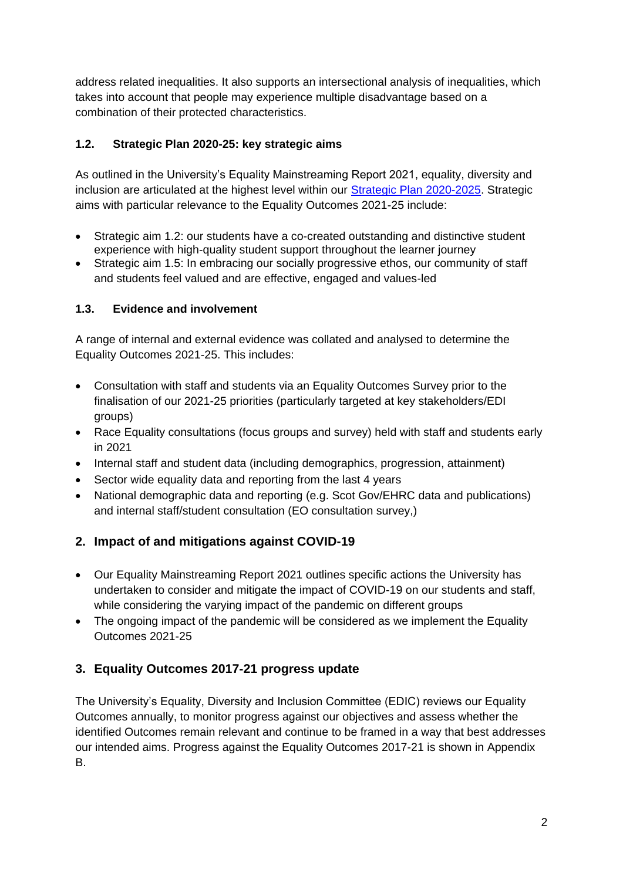address related inequalities. It also supports an intersectional analysis of inequalities, which takes into account that people may experience multiple disadvantage based on a combination of their protected characteristics.

### **1.2. Strategic Plan 2020-25: key strategic aims**

As outlined in the University's Equality Mainstreaming Report 2021, equality, diversity and inclusion are articulated at the highest level within our [Strategic Plan 2020-2025.](https://www.strath.ac.uk/whystrathclyde/strategicplan/) Strategic aims with particular relevance to the Equality Outcomes 2021-25 include:

- Strategic aim 1.2: our students have a co-created outstanding and distinctive student experience with high-quality student support throughout the learner journey
- Strategic aim 1.5: In embracing our socially progressive ethos, our community of staff and students feel valued and are effective, engaged and values-led

### **1.3. Evidence and involvement**

A range of internal and external evidence was collated and analysed to determine the Equality Outcomes 2021-25. This includes:

- Consultation with staff and students via an Equality Outcomes Survey prior to the finalisation of our 2021-25 priorities (particularly targeted at key stakeholders/EDI groups)
- Race Equality consultations (focus groups and survey) held with staff and students early in 2021
- Internal staff and student data (including demographics, progression, attainment)
- Sector wide equality data and reporting from the last 4 years
- National demographic data and reporting (e.g. Scot Gov/EHRC data and publications) and internal staff/student consultation (EO consultation survey,)

## **2. Impact of and mitigations against COVID-19**

- Our Equality Mainstreaming Report 2021 outlines specific actions the University has undertaken to consider and mitigate the impact of COVID-19 on our students and staff, while considering the varying impact of the pandemic on different groups
- The ongoing impact of the pandemic will be considered as we implement the Equality Outcomes 2021-25

## **3. Equality Outcomes 2017-21 progress update**

The University's Equality, Diversity and Inclusion Committee (EDIC) reviews our Equality Outcomes annually, to monitor progress against our objectives and assess whether the identified Outcomes remain relevant and continue to be framed in a way that best addresses our intended aims. Progress against the Equality Outcomes 2017-21 is shown in Appendix B.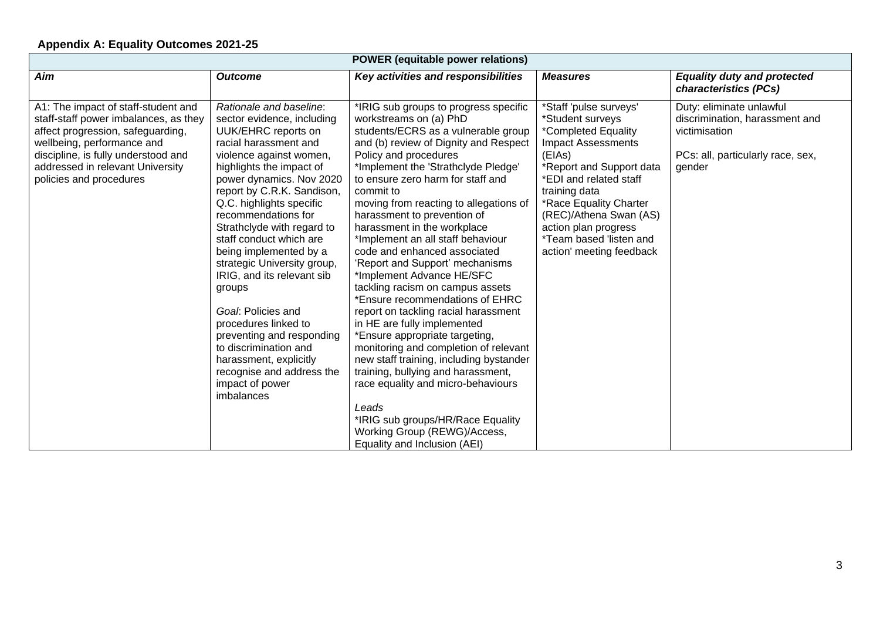### **Appendix A: Equality Outcomes 2021-25**

| <b>POWER</b> (equitable power relations)                                                                                                                                                                                                              |                                                                                                                                                                                                                                                                                                                                                                                                                                                                                                                                                                                                                                 |                                                                                                                                                                                                                                                                                                                                                                                                                                                                                                                                                                                                                                                                                                                                                                                                                                                                                                                                                                              |                                                                                                                                                                                                                                                                                                                    |                                                                                                                            |
|-------------------------------------------------------------------------------------------------------------------------------------------------------------------------------------------------------------------------------------------------------|---------------------------------------------------------------------------------------------------------------------------------------------------------------------------------------------------------------------------------------------------------------------------------------------------------------------------------------------------------------------------------------------------------------------------------------------------------------------------------------------------------------------------------------------------------------------------------------------------------------------------------|------------------------------------------------------------------------------------------------------------------------------------------------------------------------------------------------------------------------------------------------------------------------------------------------------------------------------------------------------------------------------------------------------------------------------------------------------------------------------------------------------------------------------------------------------------------------------------------------------------------------------------------------------------------------------------------------------------------------------------------------------------------------------------------------------------------------------------------------------------------------------------------------------------------------------------------------------------------------------|--------------------------------------------------------------------------------------------------------------------------------------------------------------------------------------------------------------------------------------------------------------------------------------------------------------------|----------------------------------------------------------------------------------------------------------------------------|
| Aim                                                                                                                                                                                                                                                   | <b>Outcome</b>                                                                                                                                                                                                                                                                                                                                                                                                                                                                                                                                                                                                                  | Key activities and responsibilities                                                                                                                                                                                                                                                                                                                                                                                                                                                                                                                                                                                                                                                                                                                                                                                                                                                                                                                                          | <b>Measures</b>                                                                                                                                                                                                                                                                                                    | <b>Equality duty and protected</b><br>characteristics (PCs)                                                                |
| A1: The impact of staff-student and<br>staff-staff power imbalances, as they<br>affect progression, safeguarding,<br>wellbeing, performance and<br>discipline, is fully understood and<br>addressed in relevant University<br>policies and procedures | Rationale and baseline:<br>sector evidence, including<br>UUK/EHRC reports on<br>racial harassment and<br>violence against women,<br>highlights the impact of<br>power dynamics. Nov 2020<br>report by C.R.K. Sandison,<br>Q.C. highlights specific<br>recommendations for<br>Strathclyde with regard to<br>staff conduct which are<br>being implemented by a<br>strategic University group,<br>IRIG, and its relevant sib<br>groups<br>Goal: Policies and<br>procedures linked to<br>preventing and responding<br>to discrimination and<br>harassment, explicitly<br>recognise and address the<br>impact of power<br>imbalances | *IRIG sub groups to progress specific<br>workstreams on (a) PhD<br>students/ECRS as a vulnerable group<br>and (b) review of Dignity and Respect<br>Policy and procedures<br>*Implement the 'Strathclyde Pledge'<br>to ensure zero harm for staff and<br>commit to<br>moving from reacting to allegations of<br>harassment to prevention of<br>harassment in the workplace<br>*Implement an all staff behaviour<br>code and enhanced associated<br>'Report and Support' mechanisms<br>*Implement Advance HE/SFC<br>tackling racism on campus assets<br>*Ensure recommendations of EHRC<br>report on tackling racial harassment<br>in HE are fully implemented<br>*Ensure appropriate targeting,<br>monitoring and completion of relevant<br>new staff training, including bystander<br>training, bullying and harassment,<br>race equality and micro-behaviours<br>Leads<br>*IRIG sub groups/HR/Race Equality<br>Working Group (REWG)/Access,<br>Equality and Inclusion (AEI) | *Staff 'pulse surveys'<br>*Student surveys<br>*Completed Equality<br><b>Impact Assessments</b><br>(EIAs)<br>*Report and Support data<br>*EDI and related staff<br>training data<br>*Race Equality Charter<br>(REC)/Athena Swan (AS)<br>action plan progress<br>*Team based 'listen and<br>action' meeting feedback | Duty: eliminate unlawful<br>discrimination, harassment and<br>victimisation<br>PCs: all, particularly race, sex,<br>gender |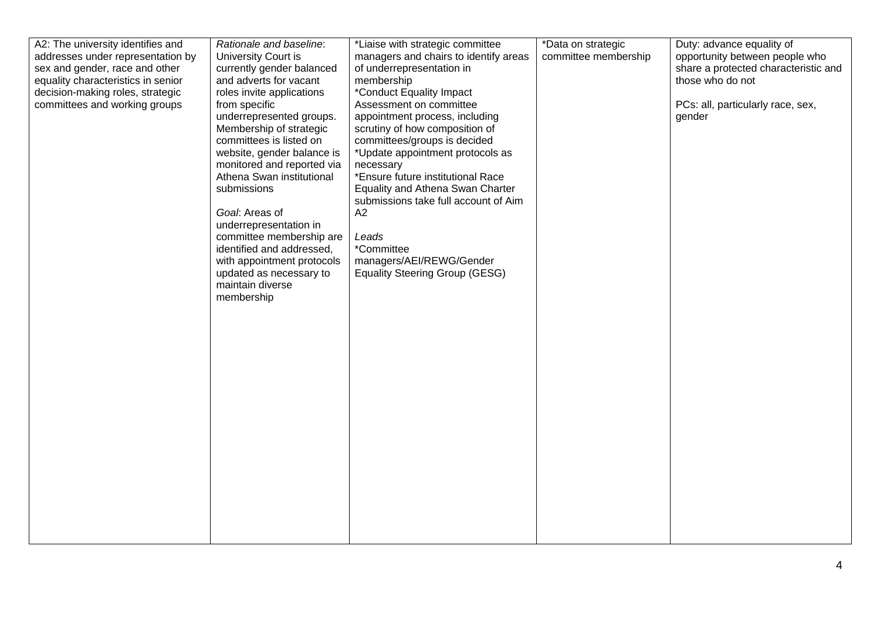| addresses under representation by<br>sex and gender, race and other<br>equality characteristics in senior<br>decision-making roles, strategic<br>committees and working groups | University Court is<br>currently gender balanced<br>and adverts for vacant<br>roles invite applications<br>from specific<br>underrepresented groups.<br>Membership of strategic<br>committees is listed on<br>website, gender balance is<br>monitored and reported via<br>Athena Swan institutional<br>submissions<br>Goal: Areas of<br>underrepresentation in<br>committee membership are<br>identified and addressed,<br>with appointment protocols<br>updated as necessary to<br>maintain diverse<br>membership | managers and chairs to identify areas<br>of underrepresentation in<br>membership<br>*Conduct Equality Impact<br>Assessment on committee<br>appointment process, including<br>scrutiny of how composition of<br>committees/groups is decided<br>*Update appointment protocols as<br>necessary<br>*Ensure future institutional Race<br>Equality and Athena Swan Charter<br>submissions take full account of Aim<br>A2<br>Leads<br>*Committee<br>managers/AEI/REWG/Gender<br><b>Equality Steering Group (GESG)</b> | committee membership | opportunity between people who<br>share a protected characteristic and<br>those who do not<br>PCs: all, particularly race, sex,<br>gender |
|--------------------------------------------------------------------------------------------------------------------------------------------------------------------------------|--------------------------------------------------------------------------------------------------------------------------------------------------------------------------------------------------------------------------------------------------------------------------------------------------------------------------------------------------------------------------------------------------------------------------------------------------------------------------------------------------------------------|-----------------------------------------------------------------------------------------------------------------------------------------------------------------------------------------------------------------------------------------------------------------------------------------------------------------------------------------------------------------------------------------------------------------------------------------------------------------------------------------------------------------|----------------------|-------------------------------------------------------------------------------------------------------------------------------------------|
|--------------------------------------------------------------------------------------------------------------------------------------------------------------------------------|--------------------------------------------------------------------------------------------------------------------------------------------------------------------------------------------------------------------------------------------------------------------------------------------------------------------------------------------------------------------------------------------------------------------------------------------------------------------------------------------------------------------|-----------------------------------------------------------------------------------------------------------------------------------------------------------------------------------------------------------------------------------------------------------------------------------------------------------------------------------------------------------------------------------------------------------------------------------------------------------------------------------------------------------------|----------------------|-------------------------------------------------------------------------------------------------------------------------------------------|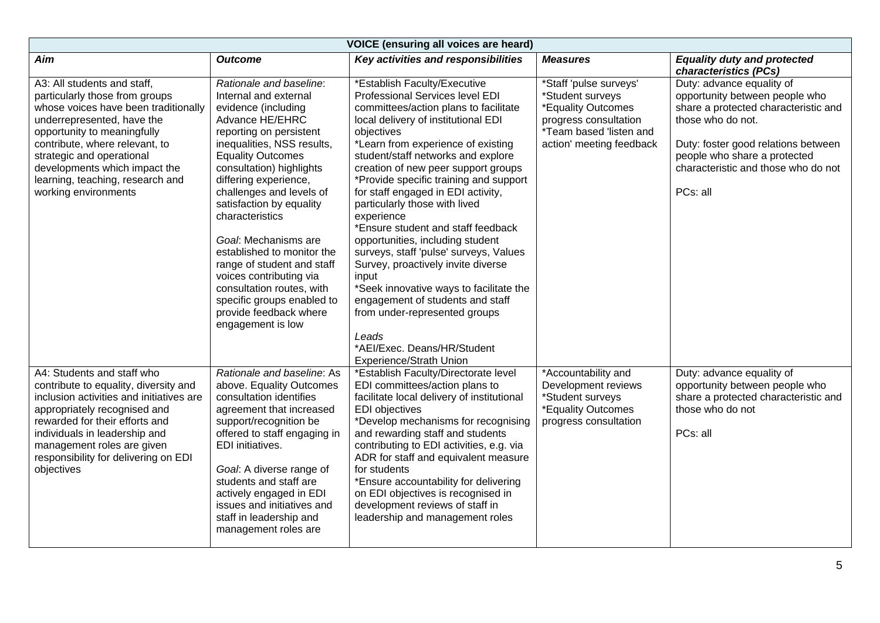| <b>VOICE</b> (ensuring all voices are heard)                                                                                                                                                                                                                                                                                   |                                                                                                                                                                                                                                                                                                                                                                                                                                                                                                                                          |                                                                                                                                                                                                                                                                                                                                                                                                                                                                                                                                                                                                                                                                                                                                                                       |                                                                                                                                                  |                                                                                                                                                                                                                                                    |
|--------------------------------------------------------------------------------------------------------------------------------------------------------------------------------------------------------------------------------------------------------------------------------------------------------------------------------|------------------------------------------------------------------------------------------------------------------------------------------------------------------------------------------------------------------------------------------------------------------------------------------------------------------------------------------------------------------------------------------------------------------------------------------------------------------------------------------------------------------------------------------|-----------------------------------------------------------------------------------------------------------------------------------------------------------------------------------------------------------------------------------------------------------------------------------------------------------------------------------------------------------------------------------------------------------------------------------------------------------------------------------------------------------------------------------------------------------------------------------------------------------------------------------------------------------------------------------------------------------------------------------------------------------------------|--------------------------------------------------------------------------------------------------------------------------------------------------|----------------------------------------------------------------------------------------------------------------------------------------------------------------------------------------------------------------------------------------------------|
| Aim                                                                                                                                                                                                                                                                                                                            | <b>Outcome</b>                                                                                                                                                                                                                                                                                                                                                                                                                                                                                                                           | Key activities and responsibilities                                                                                                                                                                                                                                                                                                                                                                                                                                                                                                                                                                                                                                                                                                                                   | <b>Measures</b>                                                                                                                                  | <b>Equality duty and protected</b><br>characteristics (PCs)                                                                                                                                                                                        |
| A3: All students and staff,<br>particularly those from groups<br>whose voices have been traditionally<br>underrepresented, have the<br>opportunity to meaningfully<br>contribute, where relevant, to<br>strategic and operational<br>developments which impact the<br>learning, teaching, research and<br>working environments | Rationale and baseline:<br>Internal and external<br>evidence (including<br>Advance HE/EHRC<br>reporting on persistent<br>inequalities, NSS results,<br><b>Equality Outcomes</b><br>consultation) highlights<br>differing experience,<br>challenges and levels of<br>satisfaction by equality<br>characteristics<br>Goal: Mechanisms are<br>established to monitor the<br>range of student and staff<br>voices contributing via<br>consultation routes, with<br>specific groups enabled to<br>provide feedback where<br>engagement is low | *Establish Faculty/Executive<br>Professional Services level EDI<br>committees/action plans to facilitate<br>local delivery of institutional EDI<br>objectives<br>*Learn from experience of existing<br>student/staff networks and explore<br>creation of new peer support groups<br>*Provide specific training and support<br>for staff engaged in EDI activity,<br>particularly those with lived<br>experience<br>*Ensure student and staff feedback<br>opportunities, including student<br>surveys, staff 'pulse' surveys, Values<br>Survey, proactively invite diverse<br>input<br>*Seek innovative ways to facilitate the<br>engagement of students and staff<br>from under-represented groups<br>Leads<br>*AEI/Exec. Deans/HR/Student<br>Experience/Strath Union | *Staff 'pulse surveys'<br>*Student surveys<br>*Equality Outcomes<br>progress consultation<br>*Team based 'listen and<br>action' meeting feedback | Duty: advance equality of<br>opportunity between people who<br>share a protected characteristic and<br>those who do not.<br>Duty: foster good relations between<br>people who share a protected<br>characteristic and those who do not<br>PCs: all |
| A4: Students and staff who<br>contribute to equality, diversity and<br>inclusion activities and initiatives are<br>appropriately recognised and<br>rewarded for their efforts and<br>individuals in leadership and<br>management roles are given<br>responsibility for delivering on EDI<br>objectives                         | Rationale and baseline: As<br>above. Equality Outcomes<br>consultation identifies<br>agreement that increased<br>support/recognition be<br>offered to staff engaging in<br>EDI initiatives.<br>Goal: A diverse range of<br>students and staff are<br>actively engaged in EDI<br>issues and initiatives and<br>staff in leadership and<br>management roles are                                                                                                                                                                            | *Establish Faculty/Directorate level<br>EDI committees/action plans to<br>facilitate local delivery of institutional<br><b>EDI</b> objectives<br>*Develop mechanisms for recognising<br>and rewarding staff and students<br>contributing to EDI activities, e.g. via<br>ADR for staff and equivalent measure<br>for students<br>*Ensure accountability for delivering<br>on EDI objectives is recognised in<br>development reviews of staff in<br>leadership and management roles                                                                                                                                                                                                                                                                                     | *Accountability and<br>Development reviews<br>*Student surveys<br>*Equality Outcomes<br>progress consultation                                    | Duty: advance equality of<br>opportunity between people who<br>share a protected characteristic and<br>those who do not<br>PCs: all                                                                                                                |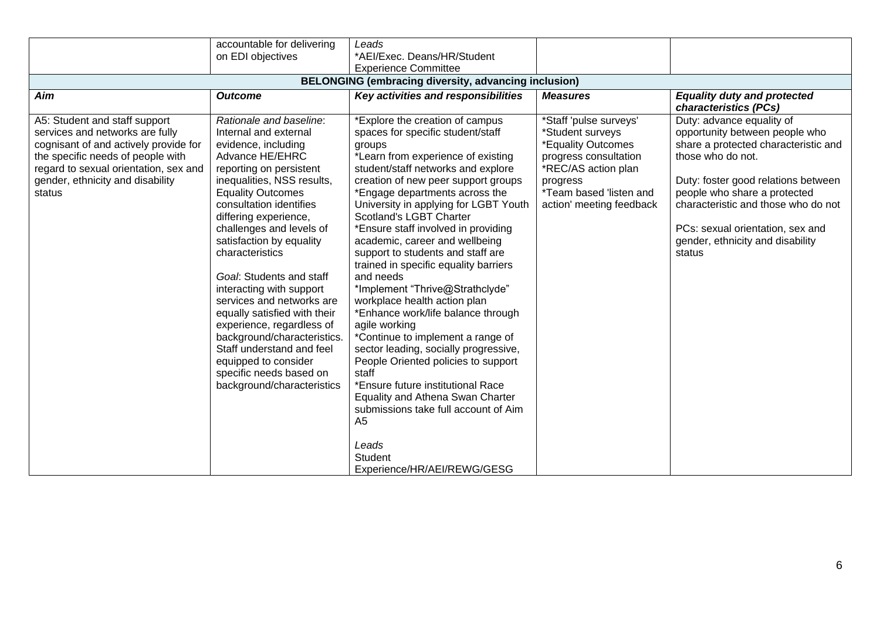|                                                                                                                                                                                                                                       | accountable for delivering                                                                                                                                                                                                                                                                                                                                                                                                                                                                                                                                                                                    | Leads                                                                                                                                                                                                                                                                                                                                                                                                                                                                                                                                                                                                                                                                                                                                                                                                                                                                                                                            |                                                                                                                                                                                     |                                                                                                                                                                                                                                                                                                                          |
|---------------------------------------------------------------------------------------------------------------------------------------------------------------------------------------------------------------------------------------|---------------------------------------------------------------------------------------------------------------------------------------------------------------------------------------------------------------------------------------------------------------------------------------------------------------------------------------------------------------------------------------------------------------------------------------------------------------------------------------------------------------------------------------------------------------------------------------------------------------|----------------------------------------------------------------------------------------------------------------------------------------------------------------------------------------------------------------------------------------------------------------------------------------------------------------------------------------------------------------------------------------------------------------------------------------------------------------------------------------------------------------------------------------------------------------------------------------------------------------------------------------------------------------------------------------------------------------------------------------------------------------------------------------------------------------------------------------------------------------------------------------------------------------------------------|-------------------------------------------------------------------------------------------------------------------------------------------------------------------------------------|--------------------------------------------------------------------------------------------------------------------------------------------------------------------------------------------------------------------------------------------------------------------------------------------------------------------------|
|                                                                                                                                                                                                                                       | on EDI objectives                                                                                                                                                                                                                                                                                                                                                                                                                                                                                                                                                                                             | *AEI/Exec. Deans/HR/Student                                                                                                                                                                                                                                                                                                                                                                                                                                                                                                                                                                                                                                                                                                                                                                                                                                                                                                      |                                                                                                                                                                                     |                                                                                                                                                                                                                                                                                                                          |
|                                                                                                                                                                                                                                       |                                                                                                                                                                                                                                                                                                                                                                                                                                                                                                                                                                                                               | <b>Experience Committee</b>                                                                                                                                                                                                                                                                                                                                                                                                                                                                                                                                                                                                                                                                                                                                                                                                                                                                                                      |                                                                                                                                                                                     |                                                                                                                                                                                                                                                                                                                          |
|                                                                                                                                                                                                                                       |                                                                                                                                                                                                                                                                                                                                                                                                                                                                                                                                                                                                               | <b>BELONGING (embracing diversity, advancing inclusion)</b>                                                                                                                                                                                                                                                                                                                                                                                                                                                                                                                                                                                                                                                                                                                                                                                                                                                                      |                                                                                                                                                                                     |                                                                                                                                                                                                                                                                                                                          |
| Aim                                                                                                                                                                                                                                   | <b>Outcome</b>                                                                                                                                                                                                                                                                                                                                                                                                                                                                                                                                                                                                | Key activities and responsibilities                                                                                                                                                                                                                                                                                                                                                                                                                                                                                                                                                                                                                                                                                                                                                                                                                                                                                              | <b>Measures</b>                                                                                                                                                                     | <b>Equality duty and protected</b><br>characteristics (PCs)                                                                                                                                                                                                                                                              |
| A5: Student and staff support<br>services and networks are fully<br>cognisant of and actively provide for<br>the specific needs of people with<br>regard to sexual orientation, sex and<br>gender, ethnicity and disability<br>status | Rationale and baseline:<br>Internal and external<br>evidence, including<br>Advance HE/EHRC<br>reporting on persistent<br>inequalities, NSS results,<br><b>Equality Outcomes</b><br>consultation identifies<br>differing experience,<br>challenges and levels of<br>satisfaction by equality<br>characteristics<br>Goal: Students and staff<br>interacting with support<br>services and networks are<br>equally satisfied with their<br>experience, regardless of<br>background/characteristics.<br>Staff understand and feel<br>equipped to consider<br>specific needs based on<br>background/characteristics | *Explore the creation of campus<br>spaces for specific student/staff<br>groups<br>*Learn from experience of existing<br>student/staff networks and explore<br>creation of new peer support groups<br>*Engage departments across the<br>University in applying for LGBT Youth<br>Scotland's LGBT Charter<br>*Ensure staff involved in providing<br>academic, career and wellbeing<br>support to students and staff are<br>trained in specific equality barriers<br>and needs<br>*Implement "Thrive@Strathclyde"<br>workplace health action plan<br>*Enhance work/life balance through<br>agile working<br>*Continue to implement a range of<br>sector leading, socially progressive,<br>People Oriented policies to support<br>staff<br>*Ensure future institutional Race<br>Equality and Athena Swan Charter<br>submissions take full account of Aim<br>A <sub>5</sub><br>Leads<br><b>Student</b><br>Experience/HR/AEI/REWG/GESG | *Staff 'pulse surveys'<br>*Student surveys<br>*Equality Outcomes<br>progress consultation<br>*REC/AS action plan<br>progress<br>*Team based 'listen and<br>action' meeting feedback | Duty: advance equality of<br>opportunity between people who<br>share a protected characteristic and<br>those who do not.<br>Duty: foster good relations between<br>people who share a protected<br>characteristic and those who do not<br>PCs: sexual orientation, sex and<br>gender, ethnicity and disability<br>status |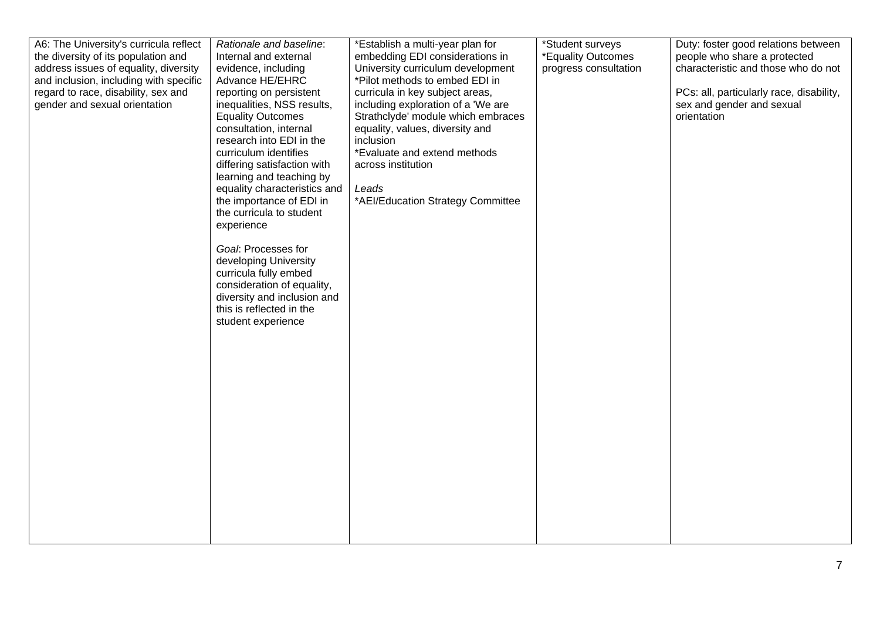| A6: The University's curricula reflect<br>the diversity of its population and<br>address issues of equality, diversity<br>and inclusion, including with specific<br>regard to race, disability, sex and<br>gender and sexual orientation | Rationale and baseline:<br>Internal and external<br>evidence, including<br>Advance HE/EHRC<br>reporting on persistent<br>inequalities, NSS results,<br><b>Equality Outcomes</b><br>consultation, internal<br>research into EDI in the<br>curriculum identifies<br>differing satisfaction with<br>learning and teaching by<br>equality characteristics and<br>the importance of EDI in<br>the curricula to student<br>experience<br>Goal: Processes for<br>developing University<br>curricula fully embed<br>consideration of equality,<br>diversity and inclusion and<br>this is reflected in the<br>student experience | *Establish a multi-year plan for<br>embedding EDI considerations in<br>University curriculum development<br>*Pilot methods to embed EDI in<br>curricula in key subject areas,<br>including exploration of a 'We are<br>Strathclyde' module which embraces<br>equality, values, diversity and<br>inclusion<br>*Evaluate and extend methods<br>across institution<br>Leads<br>*AEI/Education Strategy Committee | *Student surveys<br>*Equality Outcomes<br>progress consultation | Duty: foster good relations between<br>people who share a protected<br>characteristic and those who do not<br>PCs: all, particularly race, disability,<br>sex and gender and sexual<br>orientation |
|------------------------------------------------------------------------------------------------------------------------------------------------------------------------------------------------------------------------------------------|-------------------------------------------------------------------------------------------------------------------------------------------------------------------------------------------------------------------------------------------------------------------------------------------------------------------------------------------------------------------------------------------------------------------------------------------------------------------------------------------------------------------------------------------------------------------------------------------------------------------------|---------------------------------------------------------------------------------------------------------------------------------------------------------------------------------------------------------------------------------------------------------------------------------------------------------------------------------------------------------------------------------------------------------------|-----------------------------------------------------------------|----------------------------------------------------------------------------------------------------------------------------------------------------------------------------------------------------|
|------------------------------------------------------------------------------------------------------------------------------------------------------------------------------------------------------------------------------------------|-------------------------------------------------------------------------------------------------------------------------------------------------------------------------------------------------------------------------------------------------------------------------------------------------------------------------------------------------------------------------------------------------------------------------------------------------------------------------------------------------------------------------------------------------------------------------------------------------------------------------|---------------------------------------------------------------------------------------------------------------------------------------------------------------------------------------------------------------------------------------------------------------------------------------------------------------------------------------------------------------------------------------------------------------|-----------------------------------------------------------------|----------------------------------------------------------------------------------------------------------------------------------------------------------------------------------------------------|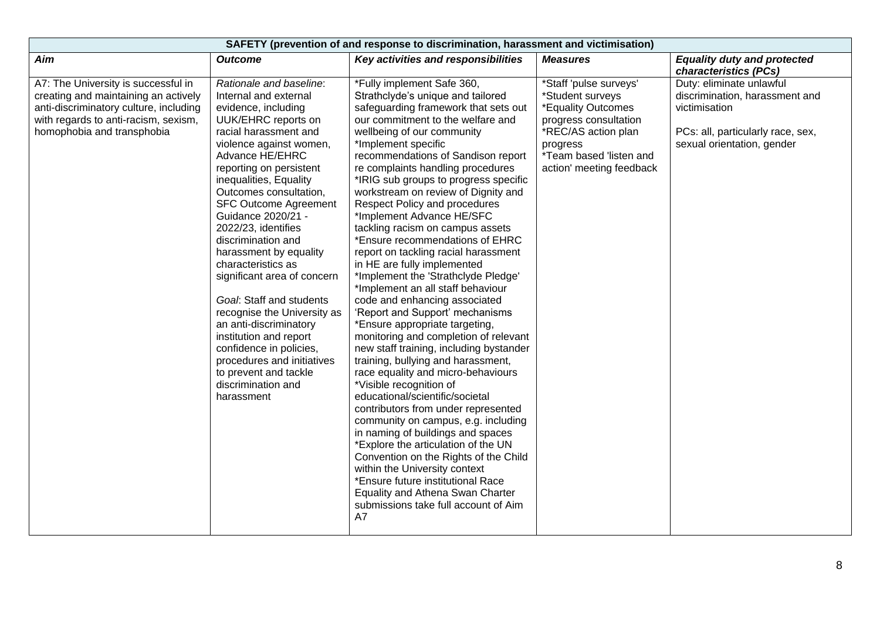| SAFETY (prevention of and response to discrimination, harassment and victimisation)                                                                                                         |                                                                                                                                                                                                                                                                                                                                                                                                                                                                                                                                                                                                                                                                             |                                                                                                                                                                                                                                                                                                                                                                                                                                                                                                                                                                                                                                                                                                                                                                                                                                                                                                                                                                                                                                                                                                                                                                                                                                                                                                                                                            |                                                                                                                                                                                     |                                                                                                                                                |
|---------------------------------------------------------------------------------------------------------------------------------------------------------------------------------------------|-----------------------------------------------------------------------------------------------------------------------------------------------------------------------------------------------------------------------------------------------------------------------------------------------------------------------------------------------------------------------------------------------------------------------------------------------------------------------------------------------------------------------------------------------------------------------------------------------------------------------------------------------------------------------------|------------------------------------------------------------------------------------------------------------------------------------------------------------------------------------------------------------------------------------------------------------------------------------------------------------------------------------------------------------------------------------------------------------------------------------------------------------------------------------------------------------------------------------------------------------------------------------------------------------------------------------------------------------------------------------------------------------------------------------------------------------------------------------------------------------------------------------------------------------------------------------------------------------------------------------------------------------------------------------------------------------------------------------------------------------------------------------------------------------------------------------------------------------------------------------------------------------------------------------------------------------------------------------------------------------------------------------------------------------|-------------------------------------------------------------------------------------------------------------------------------------------------------------------------------------|------------------------------------------------------------------------------------------------------------------------------------------------|
| Aim                                                                                                                                                                                         | <b>Outcome</b>                                                                                                                                                                                                                                                                                                                                                                                                                                                                                                                                                                                                                                                              | Key activities and responsibilities                                                                                                                                                                                                                                                                                                                                                                                                                                                                                                                                                                                                                                                                                                                                                                                                                                                                                                                                                                                                                                                                                                                                                                                                                                                                                                                        | <b>Measures</b>                                                                                                                                                                     | <b>Equality duty and protected</b><br>characteristics (PCs)                                                                                    |
| A7: The University is successful in<br>creating and maintaining an actively<br>anti-discriminatory culture, including<br>with regards to anti-racism, sexism,<br>homophobia and transphobia | Rationale and baseline:<br>Internal and external<br>evidence, including<br>UUK/EHRC reports on<br>racial harassment and<br>violence against women,<br>Advance HE/EHRC<br>reporting on persistent<br>inequalities, Equality<br>Outcomes consultation,<br><b>SFC Outcome Agreement</b><br>Guidance 2020/21 -<br>2022/23, identifies<br>discrimination and<br>harassment by equality<br>characteristics as<br>significant area of concern<br>Goal: Staff and students<br>recognise the University as<br>an anti-discriminatory<br>institution and report<br>confidence in policies,<br>procedures and initiatives<br>to prevent and tackle<br>discrimination and<br>harassment | *Fully implement Safe 360,<br>Strathclyde's unique and tailored<br>safeguarding framework that sets out<br>our commitment to the welfare and<br>wellbeing of our community<br>*Implement specific<br>recommendations of Sandison report<br>re complaints handling procedures<br>*IRIG sub groups to progress specific<br>workstream on review of Dignity and<br><b>Respect Policy and procedures</b><br>*Implement Advance HE/SFC<br>tackling racism on campus assets<br>*Ensure recommendations of EHRC<br>report on tackling racial harassment<br>in HE are fully implemented<br>*Implement the 'Strathclyde Pledge'<br>*Implement an all staff behaviour<br>code and enhancing associated<br>'Report and Support' mechanisms<br>*Ensure appropriate targeting,<br>monitoring and completion of relevant<br>new staff training, including bystander<br>training, bullying and harassment,<br>race equality and micro-behaviours<br>*Visible recognition of<br>educational/scientific/societal<br>contributors from under represented<br>community on campus, e.g. including<br>in naming of buildings and spaces<br>*Explore the articulation of the UN<br>Convention on the Rights of the Child<br>within the University context<br>*Ensure future institutional Race<br>Equality and Athena Swan Charter<br>submissions take full account of Aim<br>A7 | *Staff 'pulse surveys'<br>*Student surveys<br>*Equality Outcomes<br>progress consultation<br>*REC/AS action plan<br>progress<br>*Team based 'listen and<br>action' meeting feedback | Duty: eliminate unlawful<br>discrimination, harassment and<br>victimisation<br>PCs: all, particularly race, sex,<br>sexual orientation, gender |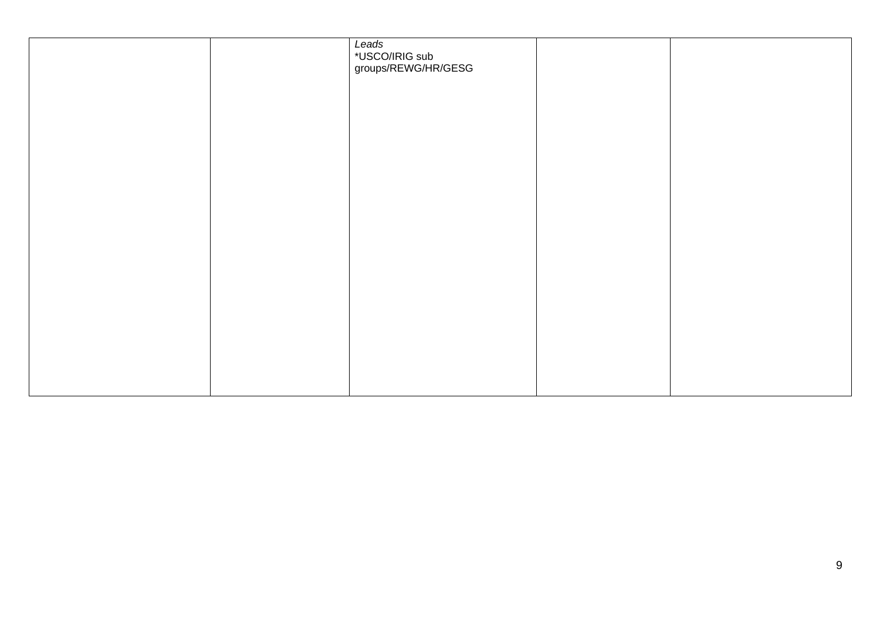|  | Leads<br>*USCO/IRIG sub<br>groups/REWG/HR/GESG |  |
|--|------------------------------------------------|--|
|  |                                                |  |
|  |                                                |  |
|  |                                                |  |
|  |                                                |  |
|  |                                                |  |
|  |                                                |  |
|  |                                                |  |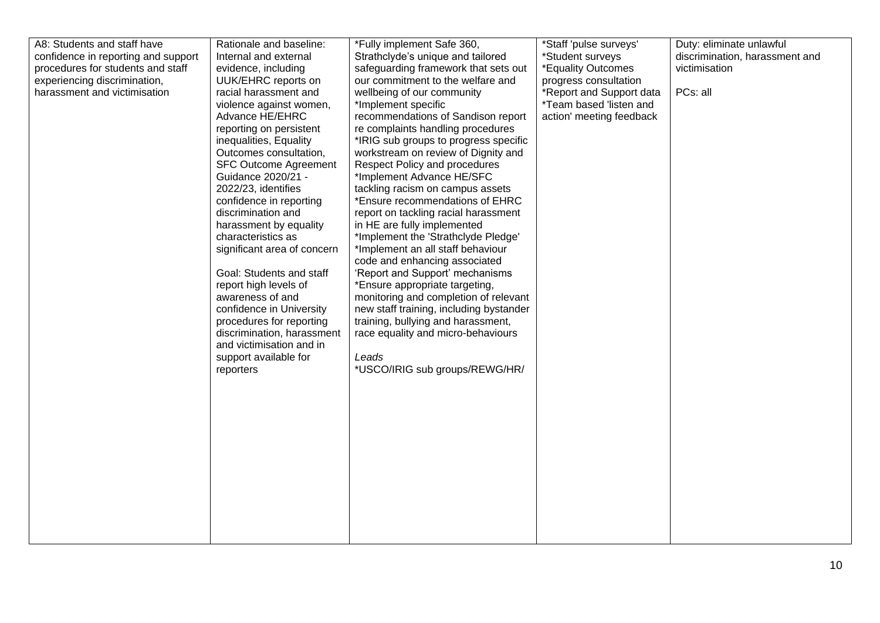| confidence in reporting and support<br>procedures for students and staff<br>experiencing discrimination,<br>harassment and victimisation | Internal and external<br>evidence, including<br>UUK/EHRC reports on<br>racial harassment and<br>violence against women,<br>Advance HE/EHRC<br>reporting on persistent<br>inequalities, Equality<br>Outcomes consultation,<br><b>SFC Outcome Agreement</b><br>Guidance 2020/21 -<br>2022/23, identifies<br>confidence in reporting<br>discrimination and<br>harassment by equality<br>characteristics as<br>significant area of concern<br>Goal: Students and staff<br>report high levels of<br>awareness of and<br>confidence in University<br>procedures for reporting<br>discrimination, harassment<br>and victimisation and in<br>support available for<br>reporters | Strathclyde's unique and tailored<br>safeguarding framework that sets out<br>our commitment to the welfare and<br>wellbeing of our community<br>*Implement specific<br>recommendations of Sandison report<br>re complaints handling procedures<br>*IRIG sub groups to progress specific<br>workstream on review of Dignity and<br>Respect Policy and procedures<br>*Implement Advance HE/SFC<br>tackling racism on campus assets<br>*Ensure recommendations of EHRC<br>report on tackling racial harassment<br>in HE are fully implemented<br>*Implement the 'Strathclyde Pledge'<br>*Implement an all staff behaviour<br>code and enhancing associated<br>'Report and Support' mechanisms<br>*Ensure appropriate targeting,<br>monitoring and completion of relevant<br>new staff training, including bystander<br>training, bullying and harassment,<br>race equality and micro-behaviours<br>Leads<br>*USCO/IRIG sub groups/REWG/HR/ | *Student surveys<br>*Equality Outcomes<br>progress consultation<br>*Report and Support data<br>*Team based 'listen and<br>action' meeting feedback | discrimination, harassment and<br>victimisation<br>PCs: all |
|------------------------------------------------------------------------------------------------------------------------------------------|-------------------------------------------------------------------------------------------------------------------------------------------------------------------------------------------------------------------------------------------------------------------------------------------------------------------------------------------------------------------------------------------------------------------------------------------------------------------------------------------------------------------------------------------------------------------------------------------------------------------------------------------------------------------------|-----------------------------------------------------------------------------------------------------------------------------------------------------------------------------------------------------------------------------------------------------------------------------------------------------------------------------------------------------------------------------------------------------------------------------------------------------------------------------------------------------------------------------------------------------------------------------------------------------------------------------------------------------------------------------------------------------------------------------------------------------------------------------------------------------------------------------------------------------------------------------------------------------------------------------------------|----------------------------------------------------------------------------------------------------------------------------------------------------|-------------------------------------------------------------|
|------------------------------------------------------------------------------------------------------------------------------------------|-------------------------------------------------------------------------------------------------------------------------------------------------------------------------------------------------------------------------------------------------------------------------------------------------------------------------------------------------------------------------------------------------------------------------------------------------------------------------------------------------------------------------------------------------------------------------------------------------------------------------------------------------------------------------|-----------------------------------------------------------------------------------------------------------------------------------------------------------------------------------------------------------------------------------------------------------------------------------------------------------------------------------------------------------------------------------------------------------------------------------------------------------------------------------------------------------------------------------------------------------------------------------------------------------------------------------------------------------------------------------------------------------------------------------------------------------------------------------------------------------------------------------------------------------------------------------------------------------------------------------------|----------------------------------------------------------------------------------------------------------------------------------------------------|-------------------------------------------------------------|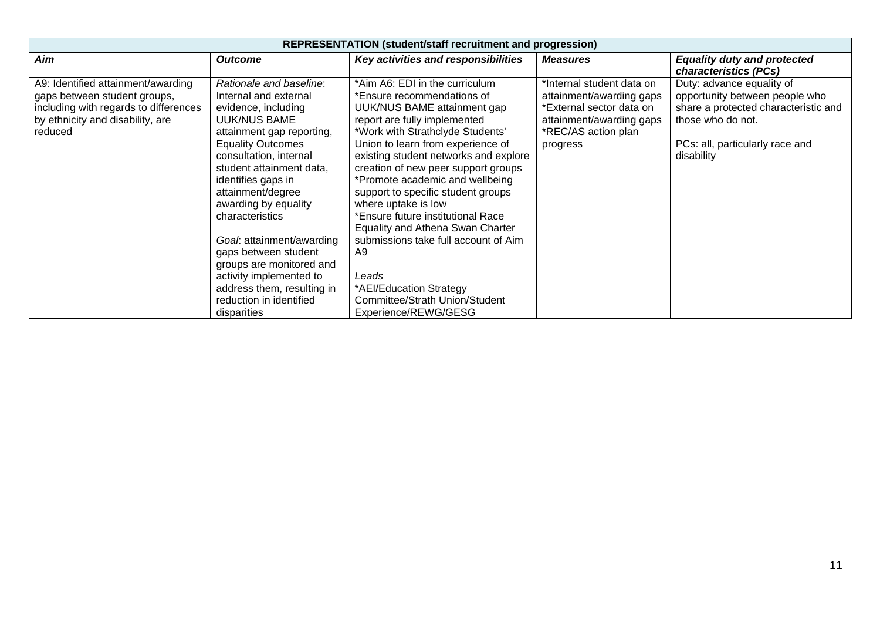| <b>REPRESENTATION (student/staff recruitment and progression)</b>                                                                                          |                                                                                                                                                                                                                                                                                                                                                                                                                                                                                  |                                                                                                                                                                                                                                                                                                                                                                                                                                                                                                                                                                                                           |                                                                                                                                                  |                                                                                                                                                                           |
|------------------------------------------------------------------------------------------------------------------------------------------------------------|----------------------------------------------------------------------------------------------------------------------------------------------------------------------------------------------------------------------------------------------------------------------------------------------------------------------------------------------------------------------------------------------------------------------------------------------------------------------------------|-----------------------------------------------------------------------------------------------------------------------------------------------------------------------------------------------------------------------------------------------------------------------------------------------------------------------------------------------------------------------------------------------------------------------------------------------------------------------------------------------------------------------------------------------------------------------------------------------------------|--------------------------------------------------------------------------------------------------------------------------------------------------|---------------------------------------------------------------------------------------------------------------------------------------------------------------------------|
| Aim                                                                                                                                                        | <b>Outcome</b>                                                                                                                                                                                                                                                                                                                                                                                                                                                                   | Key activities and responsibilities                                                                                                                                                                                                                                                                                                                                                                                                                                                                                                                                                                       | <b>Measures</b>                                                                                                                                  | <b>Equality duty and protected</b><br>characteristics (PCs)                                                                                                               |
| A9: Identified attainment/awarding<br>gaps between student groups,<br>including with regards to differences<br>by ethnicity and disability, are<br>reduced | Rationale and baseline:<br>Internal and external<br>evidence, including<br>UUK/NUS BAME<br>attainment gap reporting,<br><b>Equality Outcomes</b><br>consultation, internal<br>student attainment data,<br>identifies gaps in<br>attainment/degree<br>awarding by equality<br>characteristics<br>Goal: attainment/awarding<br>gaps between student<br>groups are monitored and<br>activity implemented to<br>address them, resulting in<br>reduction in identified<br>disparities | *Aim A6: EDI in the curriculum<br>*Ensure recommendations of<br>UUK/NUS BAME attainment gap<br>report are fully implemented<br>*Work with Strathclyde Students'<br>Union to learn from experience of<br>existing student networks and explore<br>creation of new peer support groups<br>*Promote academic and wellbeing<br>support to specific student groups<br>where uptake is low<br>*Ensure future institutional Race<br>Equality and Athena Swan Charter<br>submissions take full account of Aim<br>A9<br>Leads<br>*AEI/Education Strategy<br>Committee/Strath Union/Student<br>Experience/REWG/GESG | *Internal student data on<br>attainment/awarding gaps<br>*External sector data on<br>attainment/awarding gaps<br>*REC/AS action plan<br>progress | Duty: advance equality of<br>opportunity between people who<br>share a protected characteristic and<br>those who do not.<br>PCs: all, particularly race and<br>disability |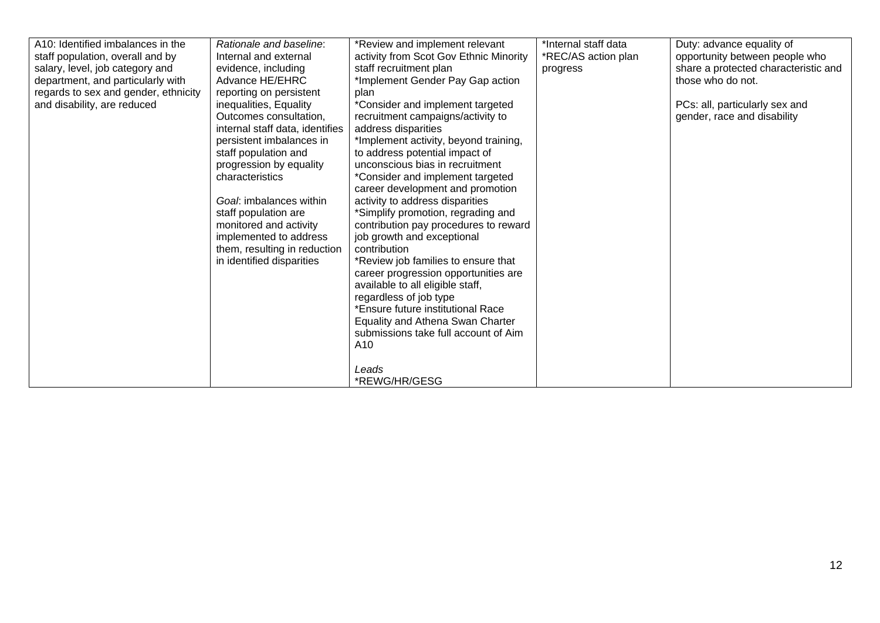| A10: Identified imbalances in the    | Rationale and baseline:                    | *Review and implement relevant         | *Internal staff data | Duty: advance equality of            |
|--------------------------------------|--------------------------------------------|----------------------------------------|----------------------|--------------------------------------|
| staff population, overall and by     | Internal and external                      | activity from Scot Gov Ethnic Minority | *REC/AS action plan  | opportunity between people who       |
| salary, level, job category and      | evidence, including                        | staff recruitment plan                 | progress             | share a protected characteristic and |
| department, and particularly with    | Advance HE/EHRC                            | *Implement Gender Pay Gap action       |                      | those who do not.                    |
| regards to sex and gender, ethnicity | reporting on persistent                    | plan                                   |                      |                                      |
| and disability, are reduced          | inequalities, Equality                     | *Consider and implement targeted       |                      | PCs: all, particularly sex and       |
|                                      | Outcomes consultation,                     | recruitment campaigns/activity to      |                      | gender, race and disability          |
|                                      | internal staff data, identifies            | address disparities                    |                      |                                      |
|                                      | persistent imbalances in                   | *Implement activity, beyond training,  |                      |                                      |
|                                      | staff population and                       | to address potential impact of         |                      |                                      |
|                                      |                                            | unconscious bias in recruitment        |                      |                                      |
|                                      | progression by equality<br>characteristics |                                        |                      |                                      |
|                                      |                                            | *Consider and implement targeted       |                      |                                      |
|                                      |                                            | career development and promotion       |                      |                                      |
|                                      | Goal: imbalances within                    | activity to address disparities        |                      |                                      |
|                                      | staff population are                       | *Simplify promotion, regrading and     |                      |                                      |
|                                      | monitored and activity                     | contribution pay procedures to reward  |                      |                                      |
|                                      | implemented to address                     | job growth and exceptional             |                      |                                      |
|                                      | them, resulting in reduction               | contribution                           |                      |                                      |
|                                      | in identified disparities                  | *Review job families to ensure that    |                      |                                      |
|                                      |                                            | career progression opportunities are   |                      |                                      |
|                                      |                                            | available to all eligible staff,       |                      |                                      |
|                                      |                                            | regardless of job type                 |                      |                                      |
|                                      |                                            | *Ensure future institutional Race      |                      |                                      |
|                                      |                                            | Equality and Athena Swan Charter       |                      |                                      |
|                                      |                                            | submissions take full account of Aim   |                      |                                      |
|                                      |                                            | A10                                    |                      |                                      |
|                                      |                                            |                                        |                      |                                      |
|                                      |                                            | Leads                                  |                      |                                      |
|                                      |                                            | *REWG/HR/GESG                          |                      |                                      |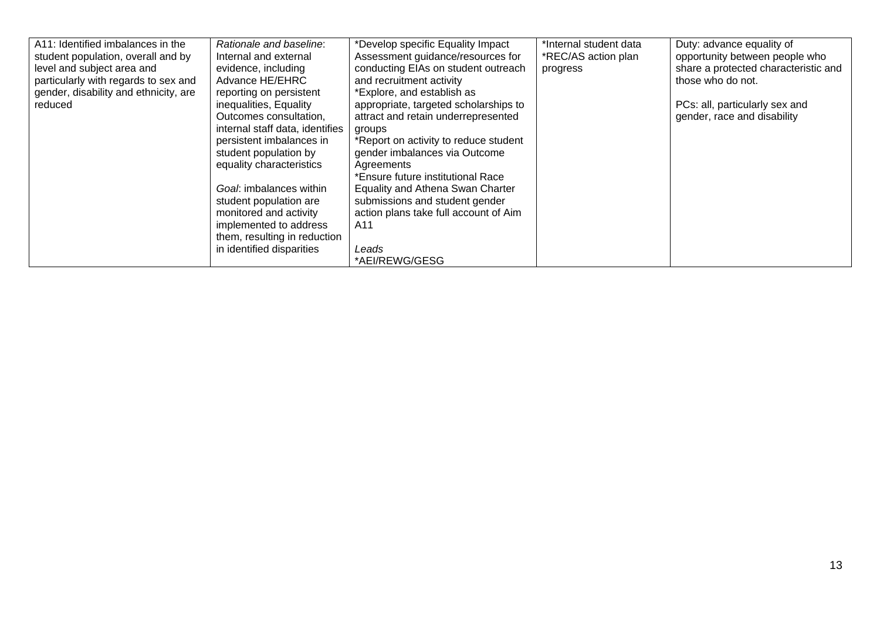| A11: Identified imbalances in the     | Rationale and baseline:         | *Develop specific Equality Impact     | *Internal student data | Duty: advance equality of            |
|---------------------------------------|---------------------------------|---------------------------------------|------------------------|--------------------------------------|
| student population, overall and by    | Internal and external           | Assessment guidance/resources for     | *REC/AS action plan    | opportunity between people who       |
| level and subject area and            | evidence, including             | conducting EIAs on student outreach   | progress               | share a protected characteristic and |
| particularly with regards to sex and  | Advance HE/EHRC                 | and recruitment activity              |                        | those who do not.                    |
| gender, disability and ethnicity, are | reporting on persistent         | *Explore, and establish as            |                        |                                      |
| reduced                               | inequalities, Equality          | appropriate, targeted scholarships to |                        | PCs: all, particularly sex and       |
|                                       | Outcomes consultation,          | attract and retain underrepresented   |                        | gender, race and disability          |
|                                       | internal staff data, identifies | groups                                |                        |                                      |
|                                       | persistent imbalances in        | *Report on activity to reduce student |                        |                                      |
|                                       | student population by           | gender imbalances via Outcome         |                        |                                      |
|                                       | equality characteristics        | Agreements                            |                        |                                      |
|                                       |                                 | *Ensure future institutional Race     |                        |                                      |
|                                       | Goal: imbalances within         | Equality and Athena Swan Charter      |                        |                                      |
|                                       | student population are          | submissions and student gender        |                        |                                      |
|                                       | monitored and activity          | action plans take full account of Aim |                        |                                      |
|                                       | implemented to address          | A11                                   |                        |                                      |
|                                       | them, resulting in reduction    |                                       |                        |                                      |
|                                       | in identified disparities       | Leads                                 |                        |                                      |
|                                       |                                 | *AEI/REWG/GESG                        |                        |                                      |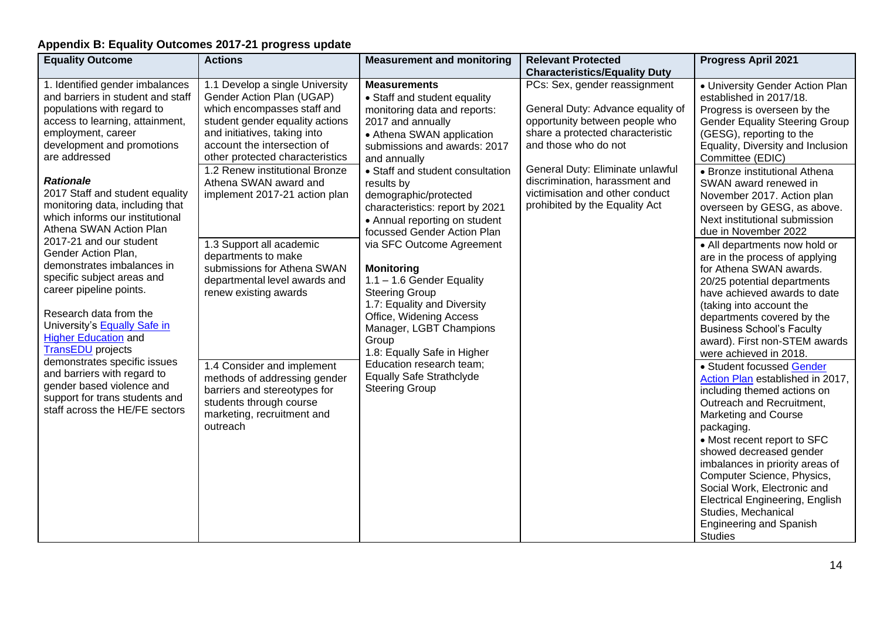# **Appendix B: Equality Outcomes 2017-21 progress update**

| <b>Equality Outcome</b>                                                                                                                                                                                                                                                                                                                                                                                                                                                                                                                                                                                                                                                                                                                                                                                 | <b>Actions</b>                                                                                                                                                                                                                                                                                                                                                                                                                                                                                                                                                                                                                              | <b>Measurement and monitoring</b>                                                                                                                                                                                                                                                                                                                                                                                                                                                                                                                                                                                                                                                                  | <b>Relevant Protected</b>                                                                                                                                                                                                                                                                                                                           | <b>Progress April 2021</b>                                                                                                                                                                                                                                                                                                                                                                                                                                                                                                                                                                                                                                                                                                                                                                                                                                                                                                                                                                                                                                                                                                                                                             |
|---------------------------------------------------------------------------------------------------------------------------------------------------------------------------------------------------------------------------------------------------------------------------------------------------------------------------------------------------------------------------------------------------------------------------------------------------------------------------------------------------------------------------------------------------------------------------------------------------------------------------------------------------------------------------------------------------------------------------------------------------------------------------------------------------------|---------------------------------------------------------------------------------------------------------------------------------------------------------------------------------------------------------------------------------------------------------------------------------------------------------------------------------------------------------------------------------------------------------------------------------------------------------------------------------------------------------------------------------------------------------------------------------------------------------------------------------------------|----------------------------------------------------------------------------------------------------------------------------------------------------------------------------------------------------------------------------------------------------------------------------------------------------------------------------------------------------------------------------------------------------------------------------------------------------------------------------------------------------------------------------------------------------------------------------------------------------------------------------------------------------------------------------------------------------|-----------------------------------------------------------------------------------------------------------------------------------------------------------------------------------------------------------------------------------------------------------------------------------------------------------------------------------------------------|----------------------------------------------------------------------------------------------------------------------------------------------------------------------------------------------------------------------------------------------------------------------------------------------------------------------------------------------------------------------------------------------------------------------------------------------------------------------------------------------------------------------------------------------------------------------------------------------------------------------------------------------------------------------------------------------------------------------------------------------------------------------------------------------------------------------------------------------------------------------------------------------------------------------------------------------------------------------------------------------------------------------------------------------------------------------------------------------------------------------------------------------------------------------------------------|
| 1. Identified gender imbalances<br>and barriers in student and staff<br>populations with regard to<br>access to learning, attainment,<br>employment, career<br>development and promotions<br>are addressed<br><b>Rationale</b><br>2017 Staff and student equality<br>monitoring data, including that<br>which informs our institutional<br>Athena SWAN Action Plan<br>2017-21 and our student<br>Gender Action Plan,<br>demonstrates imbalances in<br>specific subject areas and<br>career pipeline points.<br>Research data from the<br>University's <b>Equally Safe in</b><br><b>Higher Education and</b><br><b>TransEDU</b> projects<br>demonstrates specific issues<br>and barriers with regard to<br>gender based violence and<br>support for trans students and<br>staff across the HE/FE sectors | 1.1 Develop a single University<br>Gender Action Plan (UGAP)<br>which encompasses staff and<br>student gender equality actions<br>and initiatives, taking into<br>account the intersection of<br>other protected characteristics<br>1.2 Renew institutional Bronze<br>Athena SWAN award and<br>implement 2017-21 action plan<br>1.3 Support all academic<br>departments to make<br>submissions for Athena SWAN<br>departmental level awards and<br>renew existing awards<br>1.4 Consider and implement<br>methods of addressing gender<br>barriers and stereotypes for<br>students through course<br>marketing, recruitment and<br>outreach | <b>Measurements</b><br>• Staff and student equality<br>monitoring data and reports:<br>2017 and annually<br>• Athena SWAN application<br>submissions and awards: 2017<br>and annually<br>• Staff and student consultation<br>results by<br>demographic/protected<br>characteristics: report by 2021<br>• Annual reporting on student<br>focussed Gender Action Plan<br>via SFC Outcome Agreement<br><b>Monitoring</b><br>$1.1 - 1.6$ Gender Equality<br><b>Steering Group</b><br>1.7: Equality and Diversity<br>Office, Widening Access<br>Manager, LGBT Champions<br>Group<br>1.8: Equally Safe in Higher<br>Education research team;<br><b>Equally Safe Strathclyde</b><br><b>Steering Group</b> | <b>Characteristics/Equality Duty</b><br>PCs: Sex, gender reassignment<br>General Duty: Advance equality of<br>opportunity between people who<br>share a protected characteristic<br>and those who do not<br>General Duty: Eliminate unlawful<br>discrimination, harassment and<br>victimisation and other conduct<br>prohibited by the Equality Act | • University Gender Action Plan<br>established in 2017/18.<br>Progress is overseen by the<br><b>Gender Equality Steering Group</b><br>(GESG), reporting to the<br>Equality, Diversity and Inclusion<br>Committee (EDIC)<br>• Bronze institutional Athena<br>SWAN award renewed in<br>November 2017. Action plan<br>overseen by GESG, as above.<br>Next institutional submission<br>due in November 2022<br>• All departments now hold or<br>are in the process of applying<br>for Athena SWAN awards.<br>20/25 potential departments<br>have achieved awards to date<br>(taking into account the<br>departments covered by the<br><b>Business School's Faculty</b><br>award). First non-STEM awards<br>were achieved in 2018.<br>• Student focussed Gender<br>Action Plan established in 2017,<br>including themed actions on<br>Outreach and Recruitment,<br><b>Marketing and Course</b><br>packaging.<br>• Most recent report to SFC<br>showed decreased gender<br>imbalances in priority areas of<br>Computer Science, Physics,<br>Social Work, Electronic and<br><b>Electrical Engineering, English</b><br>Studies, Mechanical<br><b>Engineering and Spanish</b><br><b>Studies</b> |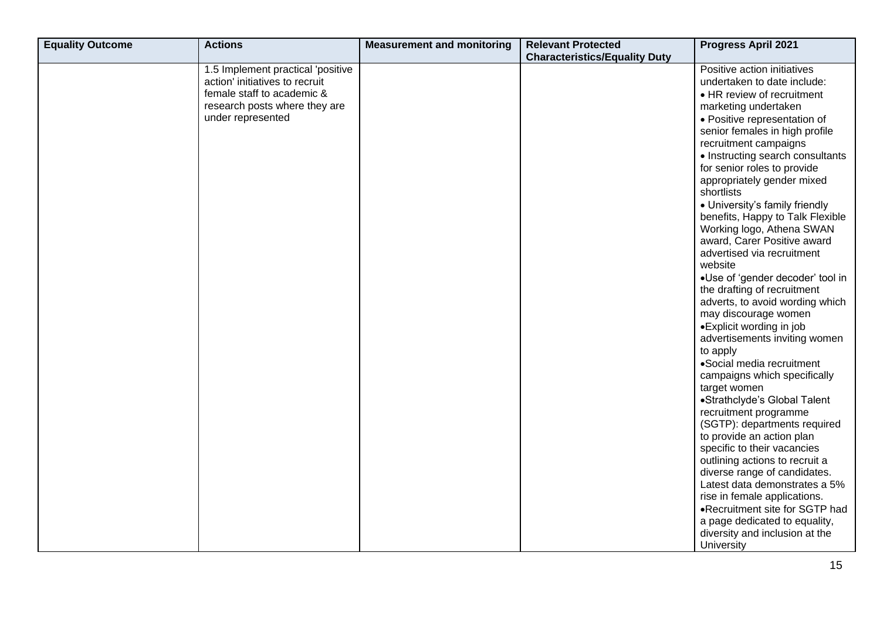| <b>Equality Outcome</b> | <b>Actions</b>                    | <b>Measurement and monitoring</b> | <b>Relevant Protected</b>            | <b>Progress April 2021</b>       |
|-------------------------|-----------------------------------|-----------------------------------|--------------------------------------|----------------------------------|
|                         |                                   |                                   | <b>Characteristics/Equality Duty</b> |                                  |
|                         | 1.5 Implement practical 'positive |                                   |                                      | Positive action initiatives      |
|                         | action' initiatives to recruit    |                                   |                                      | undertaken to date include:      |
|                         | female staff to academic &        |                                   |                                      | • HR review of recruitment       |
|                         | research posts where they are     |                                   |                                      | marketing undertaken             |
|                         | under represented                 |                                   |                                      | · Positive representation of     |
|                         |                                   |                                   |                                      | senior females in high profile   |
|                         |                                   |                                   |                                      | recruitment campaigns            |
|                         |                                   |                                   |                                      | • Instructing search consultants |
|                         |                                   |                                   |                                      | for senior roles to provide      |
|                         |                                   |                                   |                                      | appropriately gender mixed       |
|                         |                                   |                                   |                                      | shortlists                       |
|                         |                                   |                                   |                                      | • University's family friendly   |
|                         |                                   |                                   |                                      | benefits, Happy to Talk Flexible |
|                         |                                   |                                   |                                      | Working logo, Athena SWAN        |
|                         |                                   |                                   |                                      | award, Carer Positive award      |
|                         |                                   |                                   |                                      | advertised via recruitment       |
|                         |                                   |                                   |                                      | website                          |
|                         |                                   |                                   |                                      | ·Use of 'gender decoder' tool in |
|                         |                                   |                                   |                                      | the drafting of recruitment      |
|                         |                                   |                                   |                                      | adverts, to avoid wording which  |
|                         |                                   |                                   |                                      | may discourage women             |
|                         |                                   |                                   |                                      | • Explicit wording in job        |
|                         |                                   |                                   |                                      | advertisements inviting women    |
|                         |                                   |                                   |                                      | to apply                         |
|                         |                                   |                                   |                                      | •Social media recruitment        |
|                         |                                   |                                   |                                      | campaigns which specifically     |
|                         |                                   |                                   |                                      | target women                     |
|                         |                                   |                                   |                                      | •Strathclyde's Global Talent     |
|                         |                                   |                                   |                                      | recruitment programme            |
|                         |                                   |                                   |                                      | (SGTP): departments required     |
|                         |                                   |                                   |                                      | to provide an action plan        |
|                         |                                   |                                   |                                      | specific to their vacancies      |
|                         |                                   |                                   |                                      | outlining actions to recruit a   |
|                         |                                   |                                   |                                      | diverse range of candidates.     |
|                         |                                   |                                   |                                      | Latest data demonstrates a 5%    |
|                         |                                   |                                   |                                      | rise in female applications.     |
|                         |                                   |                                   |                                      | .Recruitment site for SGTP had   |
|                         |                                   |                                   |                                      | a page dedicated to equality,    |
|                         |                                   |                                   |                                      | diversity and inclusion at the   |
|                         |                                   |                                   |                                      | University                       |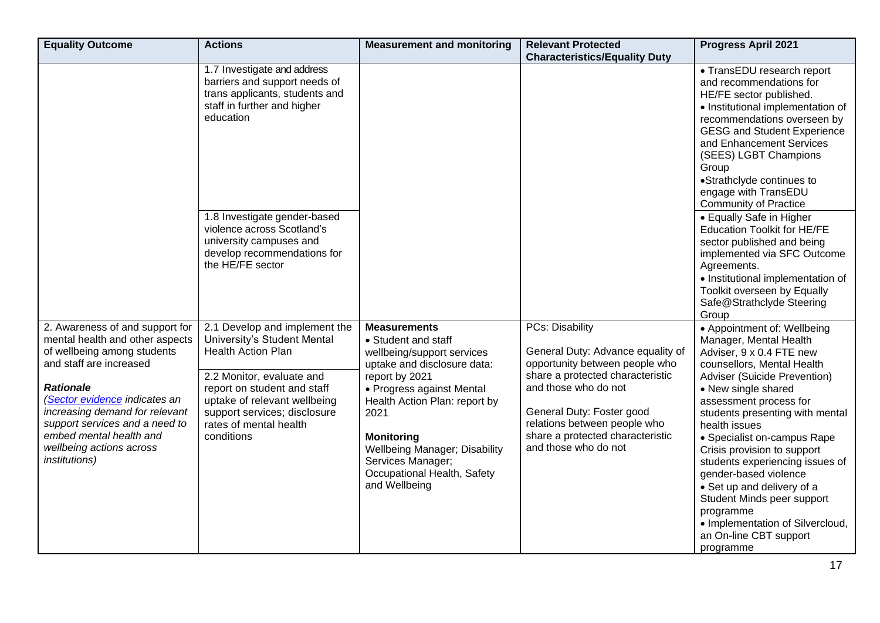| <b>Equality Outcome</b>                                                                                                                                                                                                                                                                                                               | <b>Actions</b>                                                                                                                                                                                                                                                | <b>Measurement and monitoring</b>                                                                                                                                                                                                                                                                                                 | <b>Relevant Protected</b><br><b>Characteristics/Equality Duty</b>                                                                                                                                                                                                           | <b>Progress April 2021</b>                                                                                                                                                                                                                                                                                                                                                                                                                                                                                                         |
|---------------------------------------------------------------------------------------------------------------------------------------------------------------------------------------------------------------------------------------------------------------------------------------------------------------------------------------|---------------------------------------------------------------------------------------------------------------------------------------------------------------------------------------------------------------------------------------------------------------|-----------------------------------------------------------------------------------------------------------------------------------------------------------------------------------------------------------------------------------------------------------------------------------------------------------------------------------|-----------------------------------------------------------------------------------------------------------------------------------------------------------------------------------------------------------------------------------------------------------------------------|------------------------------------------------------------------------------------------------------------------------------------------------------------------------------------------------------------------------------------------------------------------------------------------------------------------------------------------------------------------------------------------------------------------------------------------------------------------------------------------------------------------------------------|
|                                                                                                                                                                                                                                                                                                                                       | 1.7 Investigate and address<br>barriers and support needs of<br>trans applicants, students and<br>staff in further and higher<br>education                                                                                                                    |                                                                                                                                                                                                                                                                                                                                   |                                                                                                                                                                                                                                                                             | • TransEDU research report<br>and recommendations for<br>HE/FE sector published.<br>• Institutional implementation of<br>recommendations overseen by<br><b>GESG and Student Experience</b><br>and Enhancement Services<br>(SEES) LGBT Champions<br>Group<br>•Strathclyde continues to<br>engage with TransEDU<br><b>Community of Practice</b>                                                                                                                                                                                      |
|                                                                                                                                                                                                                                                                                                                                       | 1.8 Investigate gender-based<br>violence across Scotland's<br>university campuses and<br>develop recommendations for<br>the HE/FE sector                                                                                                                      |                                                                                                                                                                                                                                                                                                                                   |                                                                                                                                                                                                                                                                             | • Equally Safe in Higher<br><b>Education Toolkit for HE/FE</b><br>sector published and being<br>implemented via SFC Outcome<br>Agreements.<br>• Institutional implementation of<br>Toolkit overseen by Equally<br>Safe@Strathclyde Steering<br>Group                                                                                                                                                                                                                                                                               |
| 2. Awareness of and support for<br>mental health and other aspects<br>of wellbeing among students<br>and staff are increased<br><b>Rationale</b><br>(Sector evidence indicates an<br>increasing demand for relevant<br>support services and a need to<br>embed mental health and<br>wellbeing actions across<br><i>institutions</i> ) | 2.1 Develop and implement the<br>University's Student Mental<br><b>Health Action Plan</b><br>2.2 Monitor, evaluate and<br>report on student and staff<br>uptake of relevant wellbeing<br>support services; disclosure<br>rates of mental health<br>conditions | <b>Measurements</b><br>• Student and staff<br>wellbeing/support services<br>uptake and disclosure data:<br>report by 2021<br>• Progress against Mental<br>Health Action Plan: report by<br>2021<br><b>Monitoring</b><br><b>Wellbeing Manager; Disability</b><br>Services Manager;<br>Occupational Health, Safety<br>and Wellbeing | PCs: Disability<br>General Duty: Advance equality of<br>opportunity between people who<br>share a protected characteristic<br>and those who do not<br>General Duty: Foster good<br>relations between people who<br>share a protected characteristic<br>and those who do not | • Appointment of: Wellbeing<br>Manager, Mental Health<br>Adviser, 9 x 0.4 FTE new<br>counsellors, Mental Health<br>Adviser (Suicide Prevention)<br>• New single shared<br>assessment process for<br>students presenting with mental<br>health issues<br>• Specialist on-campus Rape<br>Crisis provision to support<br>students experiencing issues of<br>gender-based violence<br>• Set up and delivery of a<br>Student Minds peer support<br>programme<br>• Implementation of Silvercloud,<br>an On-line CBT support<br>programme |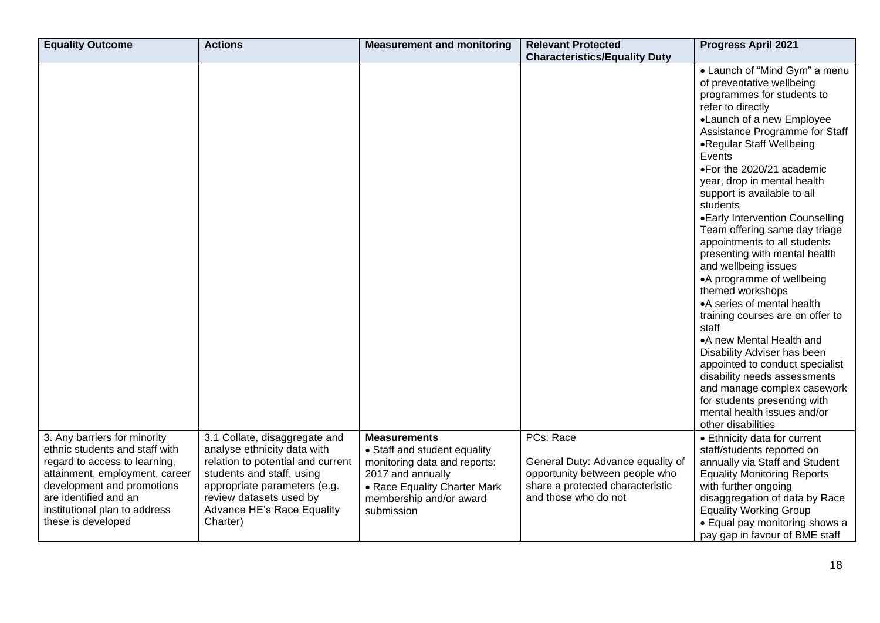| <b>Equality Outcome</b>                                                                                                                                                                                                                         | <b>Actions</b>                                                                                                                                                                                                                      | <b>Measurement and monitoring</b>                                                                                                                                                 | <b>Relevant Protected</b><br><b>Characteristics/Equality Duty</b>                                                                            | <b>Progress April 2021</b>                                                                                                                                                                                                                                                                                                                                                                                                                                                                                                                                                                                                                                                                                                                                                                                                                                            |
|-------------------------------------------------------------------------------------------------------------------------------------------------------------------------------------------------------------------------------------------------|-------------------------------------------------------------------------------------------------------------------------------------------------------------------------------------------------------------------------------------|-----------------------------------------------------------------------------------------------------------------------------------------------------------------------------------|----------------------------------------------------------------------------------------------------------------------------------------------|-----------------------------------------------------------------------------------------------------------------------------------------------------------------------------------------------------------------------------------------------------------------------------------------------------------------------------------------------------------------------------------------------------------------------------------------------------------------------------------------------------------------------------------------------------------------------------------------------------------------------------------------------------------------------------------------------------------------------------------------------------------------------------------------------------------------------------------------------------------------------|
|                                                                                                                                                                                                                                                 |                                                                                                                                                                                                                                     |                                                                                                                                                                                   |                                                                                                                                              | • Launch of "Mind Gym" a menu<br>of preventative wellbeing<br>programmes for students to<br>refer to directly<br>•Launch of a new Employee<br>Assistance Programme for Staff<br>•Regular Staff Wellbeing<br>Events<br>•For the 2020/21 academic<br>year, drop in mental health<br>support is available to all<br>students<br>•Early Intervention Counselling<br>Team offering same day triage<br>appointments to all students<br>presenting with mental health<br>and wellbeing issues<br>•A programme of wellbeing<br>themed workshops<br>• A series of mental health<br>training courses are on offer to<br>staff<br>•A new Mental Health and<br>Disability Adviser has been<br>appointed to conduct specialist<br>disability needs assessments<br>and manage complex casework<br>for students presenting with<br>mental health issues and/or<br>other disabilities |
| 3. Any barriers for minority<br>ethnic students and staff with<br>regard to access to learning,<br>attainment, employment, career<br>development and promotions<br>are identified and an<br>institutional plan to address<br>these is developed | 3.1 Collate, disaggregate and<br>analyse ethnicity data with<br>relation to potential and current<br>students and staff, using<br>appropriate parameters (e.g.<br>review datasets used by<br>Advance HE's Race Equality<br>Charter) | <b>Measurements</b><br>• Staff and student equality<br>monitoring data and reports:<br>2017 and annually<br>• Race Equality Charter Mark<br>membership and/or award<br>submission | PCs: Race<br>General Duty: Advance equality of<br>opportunity between people who<br>share a protected characteristic<br>and those who do not | • Ethnicity data for current<br>staff/students reported on<br>annually via Staff and Student<br><b>Equality Monitoring Reports</b><br>with further ongoing<br>disaggregation of data by Race<br><b>Equality Working Group</b><br>• Equal pay monitoring shows a<br>pay gap in favour of BME staff                                                                                                                                                                                                                                                                                                                                                                                                                                                                                                                                                                     |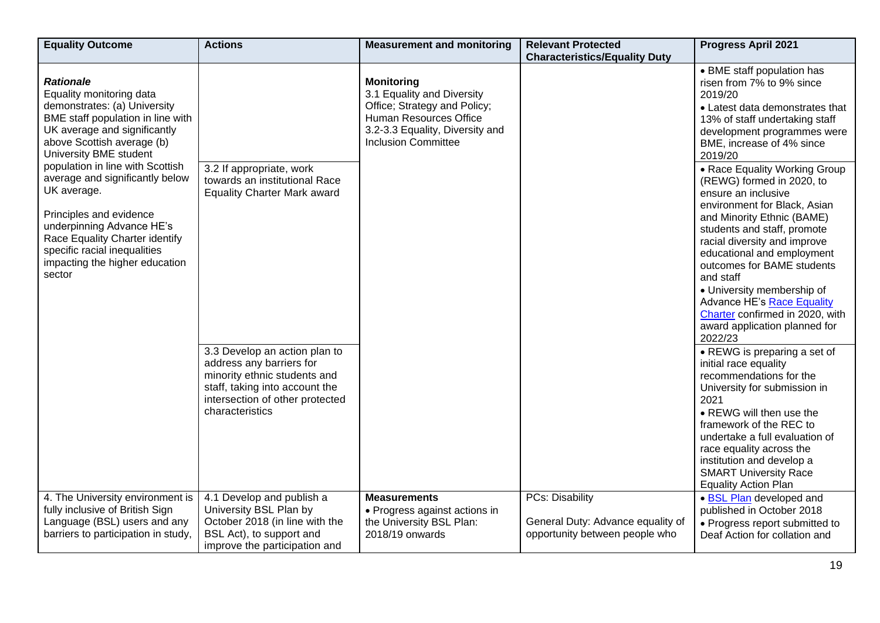| <b>Equality Outcome</b>                                                                                                                                                                                                                                                                                                                                                                                                                                               | <b>Actions</b>                                                                                                                                                                                                                                                                       | <b>Measurement and monitoring</b>                                                                                                                                          | <b>Relevant Protected</b><br><b>Characteristics/Equality Duty</b>                             | <b>Progress April 2021</b>                                                                                                                                                                                                                                                                                                                                                                                                                                                                                                                                                                                                                                                                                                                                                                                                                                                                                                                                                                        |
|-----------------------------------------------------------------------------------------------------------------------------------------------------------------------------------------------------------------------------------------------------------------------------------------------------------------------------------------------------------------------------------------------------------------------------------------------------------------------|--------------------------------------------------------------------------------------------------------------------------------------------------------------------------------------------------------------------------------------------------------------------------------------|----------------------------------------------------------------------------------------------------------------------------------------------------------------------------|-----------------------------------------------------------------------------------------------|---------------------------------------------------------------------------------------------------------------------------------------------------------------------------------------------------------------------------------------------------------------------------------------------------------------------------------------------------------------------------------------------------------------------------------------------------------------------------------------------------------------------------------------------------------------------------------------------------------------------------------------------------------------------------------------------------------------------------------------------------------------------------------------------------------------------------------------------------------------------------------------------------------------------------------------------------------------------------------------------------|
| <b>Rationale</b><br>Equality monitoring data<br>demonstrates: (a) University<br>BME staff population in line with<br>UK average and significantly<br>above Scottish average (b)<br>University BME student<br>population in line with Scottish<br>average and significantly below<br>UK average.<br>Principles and evidence<br>underpinning Advance HE's<br>Race Equality Charter identify<br>specific racial inequalities<br>impacting the higher education<br>sector | 3.2 If appropriate, work<br>towards an institutional Race<br><b>Equality Charter Mark award</b><br>3.3 Develop an action plan to<br>address any barriers for<br>minority ethnic students and<br>staff, taking into account the<br>intersection of other protected<br>characteristics | <b>Monitoring</b><br>3.1 Equality and Diversity<br>Office; Strategy and Policy;<br>Human Resources Office<br>3.2-3.3 Equality, Diversity and<br><b>Inclusion Committee</b> |                                                                                               | • BME staff population has<br>risen from 7% to 9% since<br>2019/20<br>• Latest data demonstrates that<br>13% of staff undertaking staff<br>development programmes were<br>BME, increase of 4% since<br>2019/20<br>• Race Equality Working Group<br>(REWG) formed in 2020, to<br>ensure an inclusive<br>environment for Black, Asian<br>and Minority Ethnic (BAME)<br>students and staff, promote<br>racial diversity and improve<br>educational and employment<br>outcomes for BAME students<br>and staff<br>• University membership of<br>Advance HE's Race Equality<br>Charter confirmed in 2020, with<br>award application planned for<br>2022/23<br>• REWG is preparing a set of<br>initial race equality<br>recommendations for the<br>University for submission in<br>2021<br>• REWG will then use the<br>framework of the REC to<br>undertake a full evaluation of<br>race equality across the<br>institution and develop a<br><b>SMART University Race</b><br><b>Equality Action Plan</b> |
| 4. The University environment is<br>fully inclusive of British Sign<br>Language (BSL) users and any<br>barriers to participation in study,                                                                                                                                                                                                                                                                                                                            | 4.1 Develop and publish a<br>University BSL Plan by<br>October 2018 (in line with the<br>BSL Act), to support and<br>improve the participation and                                                                                                                                   | <b>Measurements</b><br>• Progress against actions in<br>the University BSL Plan:<br>2018/19 onwards                                                                        | <b>PCs: Disability</b><br>General Duty: Advance equality of<br>opportunity between people who | · BSL Plan developed and<br>published in October 2018<br>• Progress report submitted to<br>Deaf Action for collation and                                                                                                                                                                                                                                                                                                                                                                                                                                                                                                                                                                                                                                                                                                                                                                                                                                                                          |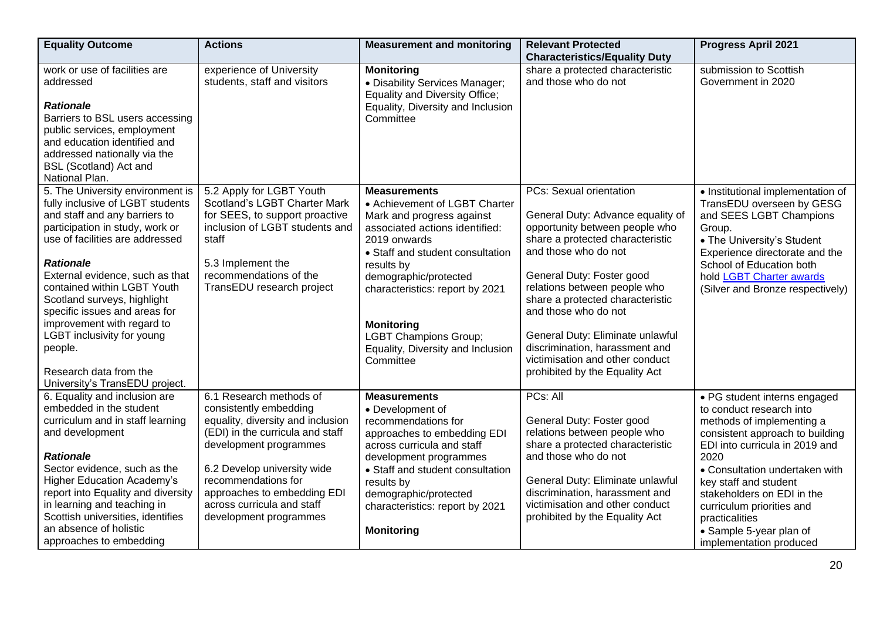| <b>Equality Outcome</b>                                                                                                                                                                                                                                                                                                                                                                                                                                              | <b>Actions</b>                                                                                                                                                                                                                                                                                    | <b>Measurement and monitoring</b>                                                                                                                                                                                                                                                                                                                        | <b>Relevant Protected</b><br><b>Characteristics/Equality Duty</b>                                                                                                                                                                                                                                                                                                                                                                     | <b>Progress April 2021</b>                                                                                                                                                                                                                                                                                                                                       |
|----------------------------------------------------------------------------------------------------------------------------------------------------------------------------------------------------------------------------------------------------------------------------------------------------------------------------------------------------------------------------------------------------------------------------------------------------------------------|---------------------------------------------------------------------------------------------------------------------------------------------------------------------------------------------------------------------------------------------------------------------------------------------------|----------------------------------------------------------------------------------------------------------------------------------------------------------------------------------------------------------------------------------------------------------------------------------------------------------------------------------------------------------|---------------------------------------------------------------------------------------------------------------------------------------------------------------------------------------------------------------------------------------------------------------------------------------------------------------------------------------------------------------------------------------------------------------------------------------|------------------------------------------------------------------------------------------------------------------------------------------------------------------------------------------------------------------------------------------------------------------------------------------------------------------------------------------------------------------|
| work or use of facilities are<br>addressed<br><b>Rationale</b><br>Barriers to BSL users accessing<br>public services, employment<br>and education identified and<br>addressed nationally via the<br><b>BSL (Scotland) Act and</b><br>National Plan.                                                                                                                                                                                                                  | experience of University<br>students, staff and visitors                                                                                                                                                                                                                                          | <b>Monitoring</b><br>· Disability Services Manager;<br><b>Equality and Diversity Office;</b><br>Equality, Diversity and Inclusion<br>Committee                                                                                                                                                                                                           | share a protected characteristic<br>and those who do not                                                                                                                                                                                                                                                                                                                                                                              | submission to Scottish<br>Government in 2020                                                                                                                                                                                                                                                                                                                     |
| 5. The University environment is<br>fully inclusive of LGBT students<br>and staff and any barriers to<br>participation in study, work or<br>use of facilities are addressed<br><b>Rationale</b><br>External evidence, such as that<br>contained within LGBT Youth<br>Scotland surveys, highlight<br>specific issues and areas for<br>improvement with regard to<br>LGBT inclusivity for young<br>people.<br>Research data from the<br>University's TransEDU project. | 5.2 Apply for LGBT Youth<br>Scotland's LGBT Charter Mark<br>for SEES, to support proactive<br>inclusion of LGBT students and<br>staff<br>5.3 Implement the<br>recommendations of the<br>TransEDU research project                                                                                 | <b>Measurements</b><br>• Achievement of LGBT Charter<br>Mark and progress against<br>associated actions identified:<br>2019 onwards<br>• Staff and student consultation<br>results by<br>demographic/protected<br>characteristics: report by 2021<br><b>Monitoring</b><br><b>LGBT Champions Group;</b><br>Equality, Diversity and Inclusion<br>Committee | <b>PCs: Sexual orientation</b><br>General Duty: Advance equality of<br>opportunity between people who<br>share a protected characteristic<br>and those who do not<br>General Duty: Foster good<br>relations between people who<br>share a protected characteristic<br>and those who do not<br>General Duty: Eliminate unlawful<br>discrimination, harassment and<br>victimisation and other conduct<br>prohibited by the Equality Act | • Institutional implementation of<br>TransEDU overseen by GESG<br>and SEES LGBT Champions<br>Group.<br>• The University's Student<br>Experience directorate and the<br>School of Education both<br>hold LGBT Charter awards<br>(Silver and Bronze respectively)                                                                                                  |
| 6. Equality and inclusion are<br>embedded in the student<br>curriculum and in staff learning<br>and development<br><b>Rationale</b><br>Sector evidence, such as the<br><b>Higher Education Academy's</b><br>report into Equality and diversity<br>in learning and teaching in<br>Scottish universities, identifies<br>an absence of holistic<br>approaches to embedding                                                                                              | 6.1 Research methods of<br>consistently embedding<br>equality, diversity and inclusion<br>(EDI) in the curricula and staff<br>development programmes<br>6.2 Develop university wide<br>recommendations for<br>approaches to embedding EDI<br>across curricula and staff<br>development programmes | <b>Measurements</b><br>• Development of<br>recommendations for<br>approaches to embedding EDI<br>across curricula and staff<br>development programmes<br>• Staff and student consultation<br>results by<br>demographic/protected<br>characteristics: report by 2021<br><b>Monitoring</b>                                                                 | PCs: All<br>General Duty: Foster good<br>relations between people who<br>share a protected characteristic<br>and those who do not<br>General Duty: Eliminate unlawful<br>discrimination, harassment and<br>victimisation and other conduct<br>prohibited by the Equality Act                                                                                                                                                          | • PG student interns engaged<br>to conduct research into<br>methods of implementing a<br>consistent approach to building<br>EDI into curricula in 2019 and<br>2020<br>• Consultation undertaken with<br>key staff and student<br>stakeholders on EDI in the<br>curriculum priorities and<br>practicalities<br>• Sample 5-year plan of<br>implementation produced |